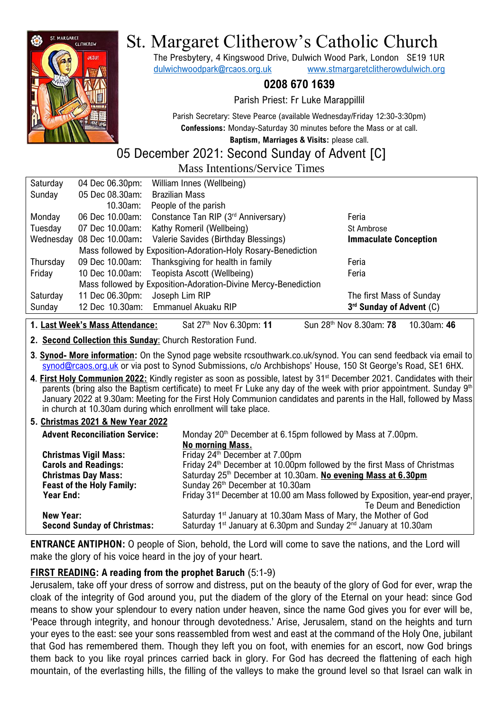

# St. Margaret Clitherow's Catholic Church

The Presbytery, 4 Kingswood Drive, Dulwich Wood Park, London SE19 1UR [dulwichwoodpark@rcaos.org.uk](mailto:dulwichwoodpark@rcaos.org.uk) [www.stmargaretclitherowdulwich.org](http://www.stmargaretclitherowdulwich.org/)

**0208 670 1639**

Parish Priest: Fr Luke Marappillil

Parish Secretary: Steve Pearce (available Wednesday/Friday 12:30-3:30pm) **Confessions:** Monday-Saturday 30 minutes before the Mass or at call.

**Baptism, Marriages & Visits:** please call.

## 05 December 2021: Second Sunday of Advent [C]

Mass Intentions/Service Times

| Saturday  | 04 Dec 06.30pm:                                                | William Innes (Wellbeing)                   |                              |  |  |
|-----------|----------------------------------------------------------------|---------------------------------------------|------------------------------|--|--|
| Sunday    | 05 Dec 08.30am:                                                | <b>Brazilian Mass</b>                       |                              |  |  |
|           | 10.30am:                                                       | People of the parish                        |                              |  |  |
| Monday    | 06 Dec 10.00am:                                                | Constance Tan RIP (3rd Anniversary)         | Feria                        |  |  |
| Tuesday   | 07 Dec 10.00am:                                                | Kathy Romeril (Wellbeing)                   | St Ambrose                   |  |  |
| Wednesday | 08 Dec 10.00am:                                                | Valerie Savides (Birthday Blessings)        | <b>Immaculate Conception</b> |  |  |
|           | Mass followed by Exposition-Adoration-Holy Rosary-Benediction  |                                             |                              |  |  |
| Thursday  | 09 Dec 10.00am:                                                | Thanksgiving for health in family           | Feria                        |  |  |
| Friday    |                                                                | 10 Dec 10.00am: Teopista Ascott (Wellbeing) | Feria                        |  |  |
|           | Mass followed by Exposition-Adoration-Divine Mercy-Benediction |                                             |                              |  |  |
| Saturday  | 11 Dec 06.30pm:                                                | Joseph Lim RIP                              | The first Mass of Sunday     |  |  |
| Sunday    |                                                                | 12 Dec 10.30am: Emmanuel Akuaku RIP         | 3rd Sunday of Advent (C)     |  |  |
|           |                                                                |                                             |                              |  |  |

**1. Last Week's Mass Attendance:** Sat 27<sup>th</sup> Nov 6.30pm: 11

th Nov 8.30am: **78** 10.30am: **46**

**2. Second Collection this Sunday**: Church Restoration Fund.

**3**. **Synod- More information:** On the Synod page website rcsouthwark.co.uk/synod. You can send feedback via email to [synod@rcaos.org.uk](mailto:synod@rcaos.org.uk) or via post to Synod Submissions, c/o Archbishops' House, 150 St George's Road, SE1 6HX.

**4**. **First Holy Communion 2022:** Kindly register as soon as possible, latest by 31st December 2021. Candidates with their parents (bring also the Baptism certificate) to meet Fr Luke any day of the week with prior appointment. Sunday 9<sup>th</sup> January 2022 at 9.30am: Meeting for the First Holy Communion candidates and parents in the Hall, followed by Mass in church at 10.30am during which enrollment will take place.

#### **5. Christmas 2021 & New Year 2022**

| <b>Advent Reconciliation Service:</b> | Monday 20 <sup>th</sup> December at 6.15pm followed by Mass at 7.00pm.                     |  |
|---------------------------------------|--------------------------------------------------------------------------------------------|--|
|                                       | No morning Mass.                                                                           |  |
| <b>Christmas Vigil Mass:</b>          | Friday 24 <sup>th</sup> December at 7.00pm                                                 |  |
| <b>Carols and Readings:</b>           | Friday 24 <sup>th</sup> December at 10.00pm followed by the first Mass of Christmas        |  |
| <b>Christmas Day Mass:</b>            | Saturday 25th December at 10.30am. No evening Mass at 6.30pm                               |  |
| <b>Feast of the Holy Family:</b>      | Sunday 26 <sup>th</sup> December at 10.30am                                                |  |
| Year End:                             | Friday 31 <sup>st</sup> December at 10.00 am Mass followed by Exposition, year-end prayer, |  |
|                                       | Te Deum and Benediction                                                                    |  |
| New Year:                             | Saturday 1 <sup>st</sup> January at 10.30am Mass of Mary, the Mother of God                |  |
| <b>Second Sunday of Christmas:</b>    | Saturday 1 <sup>st</sup> January at 6.30pm and Sunday 2 <sup>nd</sup> January at 10.30am   |  |

**ENTRANCE ANTIPHON:** O people of Sion, behold, the Lord will come to save the nations, and the Lord will make the glory of his voice heard in the joy of your heart.

### **FIRST READING: A reading from the prophet Baruch** (5:1-9)

Jerusalem, take off your dress of sorrow and distress, put on the beauty of the glory of God for ever, wrap the cloak of the integrity of God around you, put the diadem of the glory of the Eternal on your head: since God means to show your splendour to every nation under heaven, since the name God gives you for ever will be, 'Peace through integrity, and honour through devotedness.' Arise, Jerusalem, stand on the heights and turn your eyes to the east: see your sons reassembled from west and east at the command of the Holy One, jubilant that God has remembered them. Though they left you on foot, with enemies for an escort, now God brings them back to you like royal princes carried back in glory. For God has decreed the flattening of each high mountain, of the everlasting hills, the filling of the valleys to make the ground level so that Israel can walk in